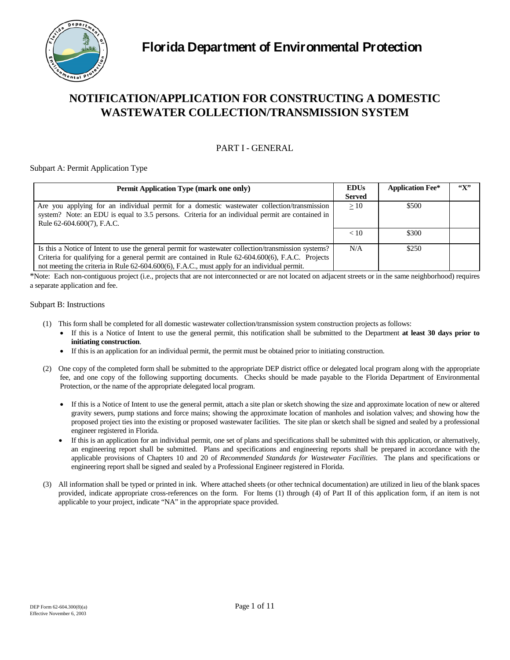

# **NOTIFICATION/APPLICATION FOR CONSTRUCTING A DOMESTIC WASTEWATER COLLECTION/TRANSMISSION SYSTEM**

# PART I - GENERAL

#### Subpart A: Permit Application Type

| Permit Application Type (mark one only)                                                                                                                                                                                                                                                                   | <b>EDUs</b><br><b>Served</b> | <b>Application Fee*</b> | $\mathfrak{C}(\mathbf{X})$ |
|-----------------------------------------------------------------------------------------------------------------------------------------------------------------------------------------------------------------------------------------------------------------------------------------------------------|------------------------------|-------------------------|----------------------------|
| Are you applying for an individual permit for a domestic wastewater collection/transmission<br>system? Note: an EDU is equal to 3.5 persons. Criteria for an individual permit are contained in<br>Rule 62-604.600(7), F.A.C.                                                                             | >10                          | \$500                   |                            |
|                                                                                                                                                                                                                                                                                                           | < 10                         | \$300                   |                            |
| Is this a Notice of Intent to use the general permit for wastewater collection/transmission systems?<br>Criteria for qualifying for a general permit are contained in Rule 62-604.600(6), F.A.C. Projects<br>not meeting the criteria in Rule 62-604.600(6), F.A.C., must apply for an individual permit. | N/A                          | \$250                   |                            |

\*Note: Each non-contiguous project (i.e., projects that are not interconnected or are not located on adjacent streets or in the same neighborhood) requires a separate application and fee.

#### Subpart B: Instructions

- (1) This form shall be completed for all domestic wastewater collection/transmission system construction projects as follows:
	- • If this is a Notice of Intent to use the general permit, this notification shall be submitted to the Department **at least 30 days prior to initiating construction**.
	- If this is an application for an individual permit, the permit must be obtained prior to initiating construction.
- fee, and one copy of the following supporting documents. Checks should be made payable to the Florida Department of Environmental (2) One copy of the completed form shall be submitted to the appropriate DEP district office or delegated local program along with the appropriate Protection, or the name of the appropriate delegated local program.
	- • If this is a Notice of Intent to use the general permit, attach a site plan or sketch showing the size and approximate location of new or altered gravity sewers, pump stations and force mains; showing the approximate location of manholes and isolation valves; and showing how the proposed project ties into the existing or proposed wastewater facilities. The site plan or sketch shall be signed and sealed by a professional engineer registered in Florida.
	- an engineering report shall be submitted. Plans and specifications and engineering reports shall be prepared in accordance with the applicable provisions of Chapters 10 and 20 of *Recommended Standards for Wastewater Facilities*. The plans and specifications or • If this is an application for an individual permit, one set of plans and specifications shall be submitted with this application, or alternatively, engineering report shall be signed and sealed by a Professional Engineer registered in Florida.
- provided, indicate appropriate cross-references on the form. For Items (1) through (4) of Part II of this application form, if an item is not (3) All information shall be typed or printed in ink. Where attached sheets (or other technical documentation) are utilized in lieu of the blank spaces applicable to your project, indicate "NA" in the appropriate space provided.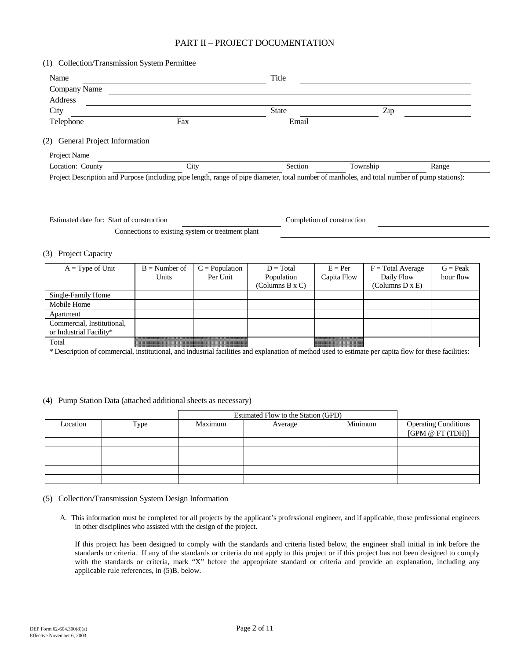# PART II – PROJECT DOCUMENTATION

| Name                            |     | Title |     |  |
|---------------------------------|-----|-------|-----|--|
| Company Name                    |     |       |     |  |
| Address                         |     |       |     |  |
| City                            |     | State | Zip |  |
| Telephone                       | Fax | Email |     |  |
|                                 |     |       |     |  |
| (2) General Project Information |     |       |     |  |
| Project Name                    |     |       |     |  |

Estimated date for: Start of construction Completion of construction Connections to existing system or treatment plant

#### (3) Project Capacity

| $A = Type of Unit$         | $B =$ Number of                                                                                                                                                                                                          | $C = Population$                                                                                      | $D = Total$     | $E = Per$   | $F = Total Average$ | $G = Peak$ |
|----------------------------|--------------------------------------------------------------------------------------------------------------------------------------------------------------------------------------------------------------------------|-------------------------------------------------------------------------------------------------------|-----------------|-------------|---------------------|------------|
|                            | Units                                                                                                                                                                                                                    | Per Unit                                                                                              | Population      | Capita Flow | Daily Flow          | hour flow  |
|                            |                                                                                                                                                                                                                          |                                                                                                       | (Columns B x C) |             | (Columns D x E)     |            |
| Single-Family Home         |                                                                                                                                                                                                                          |                                                                                                       |                 |             |                     |            |
| Mobile Home                |                                                                                                                                                                                                                          |                                                                                                       |                 |             |                     |            |
| Apartment                  |                                                                                                                                                                                                                          |                                                                                                       |                 |             |                     |            |
| Commercial, Institutional, |                                                                                                                                                                                                                          |                                                                                                       |                 |             |                     |            |
| or Industrial Facility*    |                                                                                                                                                                                                                          |                                                                                                       |                 |             |                     |            |
| Total                      | trace ar ar ac act ar ar ar ar ar ac ac ac ar ar ar ac ar ar ar ar ar ar ac ac ar ar ac ac ar ar ar a<br>the contract of the contract of the contract of the contract of the contract of the contract of the contract of | and an description of the description of the description of the description of the description of the |                 |             |                     |            |

\* Description of commercial, institutional, and industrial facilities and explanation of method used to estimate per capita flow for these facilities:

#### (4) Pump Station Data (attached additional sheets as necessary)

|          |      |         | Estimated Flow to the Station (GPD) |         |                                                 |  |
|----------|------|---------|-------------------------------------|---------|-------------------------------------------------|--|
| Location | Type | Maximum | Average                             | Minimum | <b>Operating Conditions</b><br>[GPM @ FT (TDH)] |  |
|          |      |         |                                     |         |                                                 |  |
|          |      |         |                                     |         |                                                 |  |
|          |      |         |                                     |         |                                                 |  |
|          |      |         |                                     |         |                                                 |  |
|          |      |         |                                     |         |                                                 |  |

#### (5) Collection/Transmission System Design Information

 A. This information must be completed for all projects by the applicant's professional engineer, and if applicable, those professional engineers in other disciplines who assisted with the design of the project.

 If this project has been designed to comply with the standards and criteria listed below, the engineer shall initial in ink before the with the standards or criteria, mark "X" before the appropriate standard or criteria and provide an explanation, including any standards or criteria. If any of the standards or criteria do not apply to this project or if this project has not been designed to comply applicable rule references, in (5)B. below.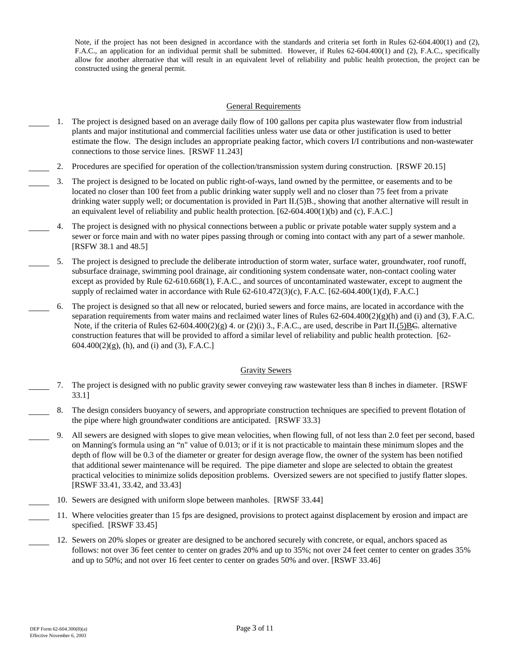Note, if the project has not been designed in accordance with the standards and criteria set forth in Rules 62-604.400(1) and (2), F.A.C., an application for an individual permit shall be submitted. However, if Rules 62-604.400(1) and (2), F.A.C., specifically allow for another alternative that will result in an equivalent level of reliability and public health protection, the project can be constructed using the general permit.

#### General Requirements

- 1. The project is designed based on an average daily flow of 100 gallons per capita plus wastewater flow from industrial plants and major institutional and commercial facilities unless water use data or other justification is used to better estimate the flow. The design includes an appropriate peaking factor, which covers I/I contributions and non-wastewater connections to those service lines. [RSWF 11.243]
- 2. Procedures are specified for operation of the collection/transmission system during construction. [RSWF 20.15]
- 3. The project is designed to be located on public right-of-ways, land owned by the permittee, or easements and to be located no closer than 100 feet from a public drinking water supply well and no closer than 75 feet from a private drinking water supply well; or documentation is provided in Part II.(5)B., showing that another alternative will result in an equivalent level of reliability and public health protection.  $[62-604.400(1)(b)$  and (c), F.A.C.]
- sewer or force main and with no water pipes passing through or coming into contact with any part of a sewer manhole. 4. The project is designed with no physical connections between a public or private potable water supply system and a [RSFW 38.1 and 48.5]
- 5. The project is designed to preclude the deliberate introduction of storm water, surface water, groundwater, roof runoff, subsurface drainage, swimming pool drainage, air conditioning system condensate water, non-contact cooling water except as provided by Rule 62-610.668(1), F.A.C., and sources of uncontaminated wastewater, except to augment the supply of reclaimed water in accordance with Rule 62-610.472(3)(c), F.A.C. [62-604.400(1)(d), F.A.C.]
- 6. The project is designed so that all new or relocated, buried sewers and force mains, are located in accordance with the separation requirements from water mains and reclaimed water lines of Rules  $62-604.400(2)(g)(h)$  and (i) and (3), F.A.C. Note, if the criteria of Rules  $62-604.400(2)(g)$  4. or (2)(i) 3., F.A.C., are used, describe in Part II.(5)BC. alternative construction features that will be provided to afford a similar level of reliability and public health protection. [62  $604.400(2)(g)$ , (h), and (i) and (3), F.A.C.]

#### Gravity Sewers

- 7. The project is designed with no public gravity sewer conveying raw wastewater less than 8 inches in diameter. [RSWF 33.1]
- 8. The design considers buoyancy of sewers, and appropriate construction techniques are specified to prevent flotation of the pipe where high groundwater conditions are anticipated. [RSWF 33.3}
	- 9. All sewers are designed with slopes to give mean velocities, when flowing full, of not less than 2.0 feet per second*,* based on Manning's formula using an "n" value of 0.013; or if it is not practicable to maintain these minimum slopes and the depth of flow will be 0.3 of the diameter or greater for design average flow, the owner of the system has been notified that additional sewer maintenance will be required. The pipe diameter and slope are selected to obtain the greatest practical velocities to minimize solids deposition problems. Oversized sewers are not specified to justify flatter slopes. [RSWF 33.41, 33.42, and 33.43]
- 10. Sewers are designed with uniform slope between manholes. [RWSF 33.44]
- 11. Where velocities greater than 15 fps are designed, provisions to protect against displacement by erosion and impact are specified. [RSWF 33.45]
	- 12. Sewers on 20% slopes or greater are designed to be anchored securely with concrete, or equal, anchors spaced as follows: not over 36 feet center to center on grades 20% and up to 35%; not over 24 feet center to center on grades 35% and up to 50%; and not over 16 feet center to center on grades 50% and over. [RSWF 33.46]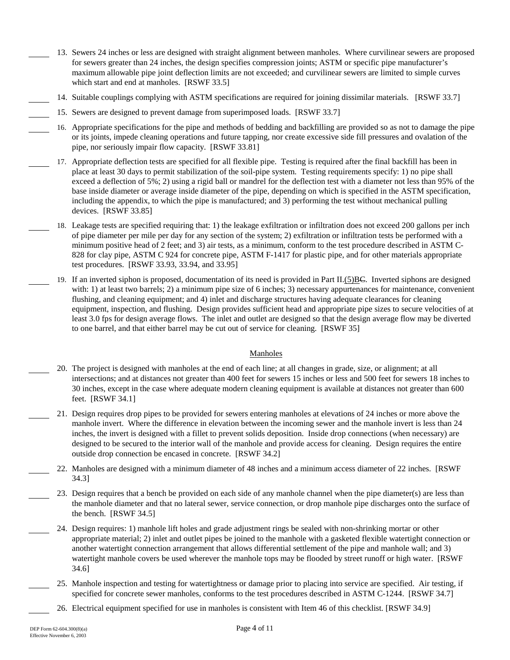- 13. Sewers 24 inches or less are designed with straight alignment between manholes. Where curvilinear sewers are proposed for sewers greater than 24 inches, the design specifies compression joints; ASTM or specific pipe manufacturer's maximum allowable pipe joint deflection limits are not exceeded; and curvilinear sewers are limited to simple curves which start and end at manholes. [RSWF 33.5]
- 14. Suitable couplings complying with ASTM specifications are required for joining dissimilar materials. [RSWF 33.7]
- 15. Sewers are designed to prevent damage from superimposed loads. [RSWF 33.7]
- 16. Appropriate specifications for the pipe and methods of bedding and backfilling are provided so as not to damage the pipe or its joints, impede cleaning operations and future tapping, nor create excessive side fill pressures and ovalation of the pipe, nor seriously impair flow capacity. [RSWF 33.81]
- devices. [RSWF 33.85] 17. Appropriate deflection tests are specified for all flexible pipe. Testing is required after the final backfill has been in place at least 30 days to permit stabilization of the soil-pipe system. Testing requirements specify: 1) no pipe shall exceed a deflection of 5%; 2) using a rigid ball or mandrel for the deflection test with a diameter not less than 95% of the base inside diameter or average inside diameter of the pipe, depending on which is specified in the ASTM specification, including the appendix, to which the pipe is manufactured; and 3) performing the test without mechanical pulling
- 18. Leakage tests are specified requiring that: 1) the leakage exfiltration or infiltration does not exceed 200 gallons per inch of pipe diameter per mile per day for any section of the system; 2) exfiltration or infiltration tests be performed with a minimum positive head of 2 feet; and 3) air tests, as a minimum, conform to the test procedure described in ASTM C-828 for clay pipe, ASTM C 924 for concrete pipe, ASTM F-1417 for plastic pipe, and for other materials appropriate test procedures. [RSWF 33.93, 33.94, and 33.95]
- 19. If an inverted siphon is proposed, documentation of its need is provided in Part II.(5)BC. Inverted siphons are designed with: 1) at least two barrels; 2) a minimum pipe size of 6 inches; 3) necessary appurtenances for maintenance, convenient flushing, and cleaning equipment; and 4) inlet and discharge structures having adequate clearances for cleaning equipment, inspection, and flushing. Design provides sufficient head and appropriate pipe sizes to secure velocities of at least 3.0 fps for design average flows. The inlet and outlet are designed so that the design average flow may be diverted to one barrel, and that either barrel may be cut out of service for cleaning. [RSWF 35]

#### Manholes

- 20. The project is designed with manholes at the end of each line; at all changes in grade, size, or alignment; at all intersections; and at distances not greater than 400 feet for sewers 15 inches or less and 500 feet for sewers 18 inches to 30 inches, except in the case where adequate modern cleaning equipment is available at distances not greater than 600 feet. [RSWF 34.1]
- 21. Design requires drop pipes to be provided for sewers entering manholes at elevations of 24 inches or more above the manhole invert. Where the difference in elevation between the incoming sewer and the manhole invert is less than 24 inches, the invert is designed with a fillet to prevent solids deposition. Inside drop connections (when necessary) are designed to be secured to the interior wall of the manhole and provide access for cleaning. Design requires the entire outside drop connection be encased in concrete. [RSWF 34.2]
- 22. Manholes are designed with a minimum diameter of 48 inches and a minimum access diameter of 22 inches. [RSWF 34.3]
	- 23. Design requires that a bench be provided on each side of any manhole channel when the pipe diameter(s) are less than the manhole diameter and that no lateral sewer, service connection, or drop manhole pipe discharges onto the surface of the bench. [RSWF 34.5]
	- 24. Design requires: 1) manhole lift holes and grade adjustment rings be sealed with non-shrinking mortar or other appropriate material; 2) inlet and outlet pipes be joined to the manhole with a gasketed flexible watertight connection or another watertight connection arrangement that allows differential settlement of the pipe and manhole wall; and 3) watertight manhole covers be used wherever the manhole tops may be flooded by street runoff or high water. [RSWF 34.6]
	- 25. Manhole inspection and testing for watertightness or damage prior to placing into service are specified. Air testing, if specified for concrete sewer manholes, conforms to the test procedures described in ASTM C-1244. [RSWF 34.7]
	- 26. Electrical equipment specified for use in manholes is consistent with Item 46 of this checklist. [RSWF 34.9]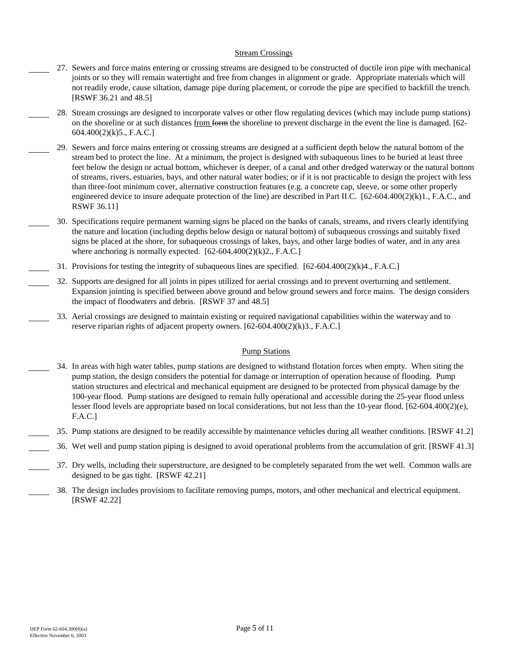#### Stream Crossings

- 27. Sewers and force mains entering or crossing streams are designed to be constructed of ductile iron pipe with mechanical joints or so they will remain watertight and free from changes in alignment or grade. Appropriate materials which will not readily erode, cause siltation, damage pipe during placement, or corrode the pipe are specified to backfill the trench. [RSWF 36.21 and 48.5]
- 28. Stream crossings are designed to incorporate valves or other flow regulating devices (which may include pump stations) on the shoreline or at such distances from form the shoreline to prevent discharge in the event the line is damaged. [62 604.400(2)(k)5., F.A.C.]
- 29. Sewers and force mains entering or crossing streams are designed at a sufficient depth below the natural bottom of the stream bed to protect the line. At a minimum, the project is designed with subaqueous lines to be buried at least three feet below the design or actual bottom, whichever is deeper, of a canal and other dredged waterway or the natural bottom of streams, rivers, estuaries, bays, and other natural water bodies; or if it is not practicable to design the project with less than three-foot minimum cover, alternative construction features (e.g. a concrete cap, sleeve, or some other properly engineered device to insure adequate protection of the line) are described in Part II.C.  $[62-604.400(2)(k)1, F.A.C.,$  and RSWF 36.11]
- where anchoring is normally expected. [62-604.400(2)(k)2., F.A.C.] 30. Specifications require permanent warning signs be placed on the banks of canals, streams, and rivers clearly identifying the nature and location (including depths below design or natural bottom) of subaqueous crossings and suitably fixed signs be placed at the shore, for subaqueous crossings of lakes, bays, and other large bodies of water, and in any area
- 31. Provisions for testing the integrity of subaqueous lines are specified. [62-604.400(2)(k)4., F.A.C.]
- 32. Supports are designed for all joints in pipes utilized for aerial crossings and to prevent overturning and settlement. Expansion jointing is specified between above ground and below ground sewers and force mains. The design considers the impact of floodwaters and debris. [RSWF 37 and 48.5]
- 33. Aerial crossings are designed to maintain existing or required navigational capabilities within the waterway and to reserve riparian rights of adjacent property owners. [62-604.400(2)(k)3., F.A.C.]

#### Pump Stations

- 34. In areas with high water tables, pump stations are designed to withstand flotation forces when empty. When siting the pump station, the design considers the potential for damage or interruption of operation because of flooding. Pump station structures and electrical and mechanical equipment are designed to be protected from physical damage by the 100-year flood. Pump stations are designed to remain fully operational and accessible during the 25-year flood unless lesser flood levels are appropriate based on local considerations, but not less than the 10-year flood. [62-604.400(2)(e), F.A.C.]
- 35. Pump stations are designed to be readily accessible by maintenance vehicles during all weather conditions. [RSWF 41.2]
- 36. Wet well and pump station piping is designed to avoid operational problems from the accumulation of grit. [RSWF 41.3]
- 37. Dry wells, including their superstructure, are designed to be completely separated from the wet well. Common walls are designed to be gas tight. [RSWF 42.21]
	- 38. The design includes provisions to facilitate removing pumps, motors, and other mechanical and electrical equipment. [RSWF 42.22]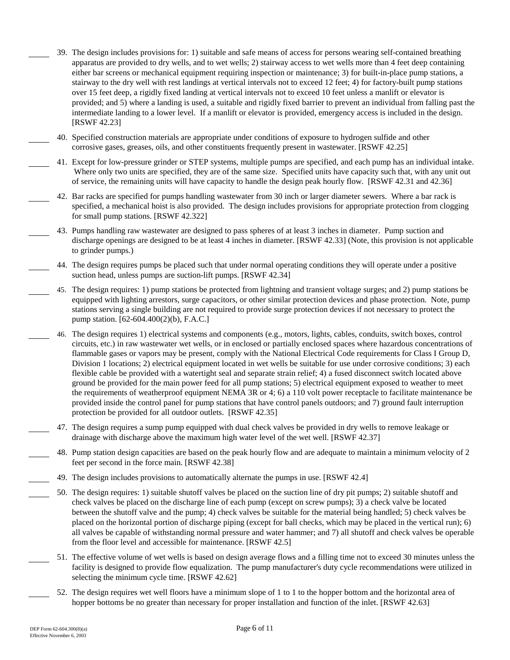- 39. The design includes provisions for: 1) suitable and safe means of access for persons wearing self-contained breathing apparatus are provided to dry wells, and to wet wells; 2) stairway access to wet wells more than 4 feet deep containing either bar screens or mechanical equipment requiring inspection or maintenance; 3) for built-in-place pump stations, a stairway to the dry well with rest landings at vertical intervals not to exceed 12 feet; 4) for factory-built pump stations over 15 feet deep, a rigidly fixed landing at vertical intervals not to exceed 10 feet unless a manlift or elevator is provided; and 5) where a landing is used, a suitable and rigidly fixed barrier to prevent an individual from falling past the intermediate landing to a lower level. If a manlift or elevator is provided, emergency access is included in the design. [RSWF 42.23]
- 40. Specified construction materials are appropriate under conditions of exposure to hydrogen sulfide and other corrosive gases, greases, oils, and other constituents frequently present in wastewater. [RSWF 42.25]
- 41. Except for low-pressure grinder or STEP systems, multiple pumps are specified, and each pump has an individual intake. Where only two units are specified, they are of the same size. Specified units have capacity such that, with any unit out of service, the remaining units will have capacity to handle the design peak hourly flow. [RSWF 42.31 and 42.36]
- 42. Bar racks are specified for pumps handling wastewater from 30 inch or larger diameter sewers. Where a bar rack is specified, a mechanical hoist is also provided. The design includes provisions for appropriate protection from clogging for small pump stations. [RSWF 42.322]
- 43. Pumps handling raw wastewater are designed to pass spheres of at least 3 inches in diameter. Pump suction and discharge openings are designed to be at least 4 inches in diameter. [RSWF 42.33] (Note, this provision is not applicable to grinder pumps.)
- 44. The design requires pumps be placed such that under normal operating conditions they will operate under a positive suction head, unless pumps are suction-lift pumps. [RSWF 42.34]
- 45. The design requires: 1) pump stations be protected from lightning and transient voltage surges; and 2) pump stations be equipped with lighting arrestors, surge capacitors, or other similar protection devices and phase protection. Note, pump stations serving a single building are not required to provide surge protection devices if not necessary to protect the pump station. [62-604.400(2)(b), F.A.C.]
- 46. The design requires 1) electrical systems and components (e.g., motors, lights, cables, conduits, switch boxes, control circuits, etc.) in raw wastewater wet wells, or in enclosed or partially enclosed spaces where hazardous concentrations of flammable gases or vapors may be present, comply with the National Electrical Code requirements for Class I Group D, Division 1 locations; 2) electrical equipment located in wet wells be suitable for use under corrosive conditions; 3) each flexible cable be provided with a watertight seal and separate strain relief; 4) a fused disconnect switch located above ground be provided for the main power feed for all pump stations; 5) electrical equipment exposed to weather to meet the requirements of weatherproof equipment NEMA 3R or 4; 6) a 110 volt power receptacle to facilitate maintenance be provided inside the control panel for pump stations that have control panels outdoors; and 7) ground fault interruption protection be provided for all outdoor outlets. [RSWF 42.35]
- 47. The design requires a sump pump equipped with dual check valves be provided in dry wells to remove leakage or drainage with discharge above the maximum high water level of the wet well. [RSWF 42.37]
- 48. Pump station design capacities are based on the peak hourly flow and are adequate to maintain a minimum velocity of 2 feet per second in the force main. [RSWF 42.38]
- 49. The design includes provisions to automatically alternate the pumps in use. [RSWF 42.4]
- 50. The design requires: 1) suitable shutoff valves be placed on the suction line of dry pit pumps; 2) suitable shutoff and check valves be placed on the discharge line of each pump (except on screw pumps); 3) a check valve be located between the shutoff valve and the pump; 4) check valves be suitable for the material being handled; 5) check valves be placed on the horizontal portion of discharge piping (except for ball checks, which may be placed in the vertical run); 6) all valves be capable of withstanding normal pressure and water hammer; and 7) all shutoff and check valves be operable from the floor level and accessible for maintenance. [RSWF 42.5]
- 51. The effective volume of wet wells is based on design average flows and a filling time not to exceed 30 minutes unless the facility is designed to provide flow equalization. The pump manufacturer's duty cycle recommendations were utilized in selecting the minimum cycle time. [RSWF 42.62]
- 52. The design requires wet well floors have a minimum slope of 1 to 1 to the hopper bottom and the horizontal area of hopper bottoms be no greater than necessary for proper installation and function of the inlet. [RSWF 42.63]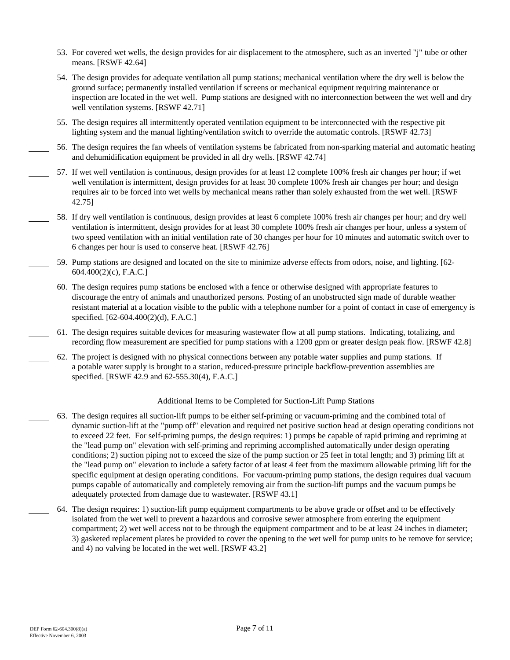- 53. For covered wet wells, the design provides for air displacement to the atmosphere, such as an inverted "j" tube or other means. [RSWF 42.64]
- 54. The design provides for adequate ventilation all pump stations; mechanical ventilation where the dry well is below the ground surface; permanently installed ventilation if screens or mechanical equipment requiring maintenance or inspection are located in the wet well. Pump stations are designed with no interconnection between the wet well and dry well ventilation systems. [RSWF 42.71]

55. The design requires all intermittently operated ventilation equipment to be interconnected with the respective pit lighting system and the manual lighting/ventilation switch to override the automatic controls. [RSWF 42.73]

56. The design requires the fan wheels of ventilation systems be fabricated from non-sparking material and automatic heating and dehumidification equipment be provided in all dry wells. [RSWF 42.74]

- 57. If wet well ventilation is continuous, design provides for at least 12 complete 100% fresh air changes per hour; if wet well ventilation is intermittent, design provides for at least 30 complete 100% fresh air changes per hour; and design requires air to be forced into wet wells by mechanical means rather than solely exhausted from the wet well. [RSWF 42.75]
- 58. If dry well ventilation is continuous, design provides at least 6 complete 100% fresh air changes per hour; and dry well ventilation is intermittent, design provides for at least 30 complete 100% fresh air changes per hour, unless a system of two speed ventilation with an initial ventilation rate of 30 changes per hour for 10 minutes and automatic switch over to 6 changes per hour is used to conserve heat. [RSWF 42.76]
- 59. Pump stations are designed and located on the site to minimize adverse effects from odors, noise, and lighting. [62 604.400(2)(c), F.A.C.]
- 60. The design requires pump stations be enclosed with a fence or otherwise designed with appropriate features to discourage the entry of animals and unauthorized persons. Posting of an unobstructed sign made of durable weather resistant material at a location visible to the public with a telephone number for a point of contact in case of emergency is specified. [62-604.400(2)(d), F.A.C.]
- 61. The design requires suitable devices for measuring wastewater flow at all pump stations. Indicating, totalizing, and recording flow measurement are specified for pump stations with a 1200 gpm or greater design peak flow. [RSWF 42.8]
- 62. The project is designed with no physical connections between any potable water supplies and pump stations. If a potable water supply is brought to a station, reduced-pressure principle backflow-prevention assemblies are specified. [RSWF 42.9 and 62-555.30(4), F.A.C.]

#### Additional Items to be Completed for Suction-Lift Pump Stations

- 63. The design requires all suction-lift pumps to be either self-priming or vacuum-priming and the combined total of dynamic suction-lift at the "pump off" elevation and required net positive suction head at design operating conditions not to exceed 22 feet. For self-priming pumps, the design requires: 1) pumps be capable of rapid priming and repriming at the "lead pump on" elevation with self-priming and repriming accomplished automatically under design operating conditions; 2) suction piping not to exceed the size of the pump suction or 25 feet in total length; and 3) priming lift at the "lead pump on" elevation to include a safety factor of at least 4 feet from the maximum allowable priming lift for the specific equipment at design operating conditions. For vacuum-priming pump stations, the design requires dual vacuum pumps capable of automatically and completely removing air from the suction-lift pumps and the vacuum pumps be adequately protected from damage due to wastewater. [RSWF 43.1]
- 64. The design requires: 1) suction-lift pump equipment compartments to be above grade or offset and to be effectively isolated from the wet well to prevent a hazardous and corrosive sewer atmosphere from entering the equipment compartment; 2) wet well access not to be through the equipment compartment and to be at least 24 inches in diameter; 3) gasketed replacement plates be provided to cover the opening to the wet well for pump units to be remove for service; and 4) no valving be located in the wet well. [RSWF 43.2]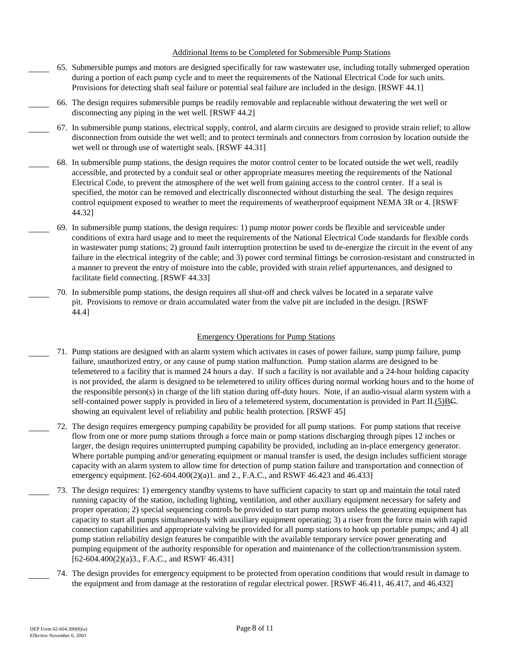#### Additional Items to be Completed for Submersible Pump Stations

- during a portion of each pump cycle and to meet the requirements of the National Electrical Code for such units. 65. Submersible pumps and motors are designed specifically for raw wastewater use, including totally submerged operation Provisions for detecting shaft seal failure or potential seal failure are included in the design. [RSWF 44.1]
- 66. The design requires submersible pumps be readily removable and replaceable without dewatering the wet well or disconnecting any piping in the wet well. [RSWF 44.2]
- 67. In submersible pump stations, electrical supply, control, and alarm circuits are designed to provide strain relief; to allow disconnection from outside the wet well; and to protect terminals and connectors from corrosion by location outside the wet well or through use of watertight seals. [RSWF 44.31]
- 68. In submersible pump stations, the design requires the motor control center to be located outside the wet well, readily accessible, and protected by a conduit seal or other appropriate measures meeting the requirements of the National Electrical Code, to prevent the atmosphere of the wet well from gaining access to the control center. If a seal is specified, the motor can be removed and electrically disconnected without disturbing the seal. The design requires control equipment exposed to weather to meet the requirements of weatherproof equipment NEMA 3R or 4. [RSWF 44.32]
- 69. In submersible pump stations, the design requires: 1) pump motor power cords be flexible and serviceable under conditions of extra hard usage and to meet the requirements of the National Electrical Code standards for flexible cords in wastewater pump stations; 2) ground fault interruption protection be used to de-energize the circuit in the event of any failure in the electrical integrity of the cable; and 3) power cord terminal fittings be corrosion-resistant and constructed in a manner to prevent the entry of moisture into the cable, provided with strain relief appurtenances, and designed to facilitate field connecting. [RSWF 44.33]
- 70. In submersible pump stations, the design requires all shut-off and check valves be located in a separate valve pit. Provisions to remove or drain accumulated water from the valve pit are included in the design. [RSWF 44.4]

#### Emergency Operations for Pump Stations

- 71. Pump stations are designed with an alarm system which activates in cases of power failure, sump pump failure, pump failure, unauthorized entry, or any cause of pump station malfunction. Pump station alarms are designed to be telemetered to a facility that is manned 24 hours a day. If such a facility is not available and a 24-hour holding capacity is not provided, the alarm is designed to be telemetered to utility offices during normal working hours and to the home of the responsible person(s) in charge of the lift station during off-duty hours. Note, if an audio-visual alarm system with a self-contained power supply is provided in lieu of a telemetered system, documentation is provided in Part II.(5)BC. showing an equivalent level of reliability and public health protection. [RSWF 45]
- larger, the design requires uninterrupted pumping capability be provided, including an in-place emergency generator. 72. The design requires emergency pumping capability be provided for all pump stations. For pump stations that receive flow from one or more pump stations through a force main or pump stations discharging through pipes 12 inches or Where portable pumping and/or generating equipment or manual transfer is used, the design includes sufficient storage capacity with an alarm system to allow time for detection of pump station failure and transportation and connection of emergency equipment.  $[62-604.400(2)(a)1$ . and 2., F.A.C., and RSWF 46.423 and 46.433]
- 73. The design requires: 1) emergency standby systems to have sufficient capacity to start up and maintain the total rated running capacity of the station, including lighting, ventilation, and other auxiliary equipment necessary for safety and proper operation; 2) special sequencing controls be provided to start pump motors unless the generating equipment has capacity to start all pumps simultaneously with auxiliary equipment operating; 3) a riser from the force main with rapid connection capabilities and appropriate valving be provided for all pump stations to hook up portable pumps; and 4) all pump station reliability design features be compatible with the available temporary service power generating and pumping equipment of the authority responsible for operation and maintenance of the collection/transmission system. [62-604.400(2)(a)3., F.A.C., and RSWF 46.431]
- 74. The design provides for emergency equipment to be protected from operation conditions that would result in damage to the equipment and from damage at the restoration of regular electrical power. [RSWF 46.411, 46.417, and 46.432]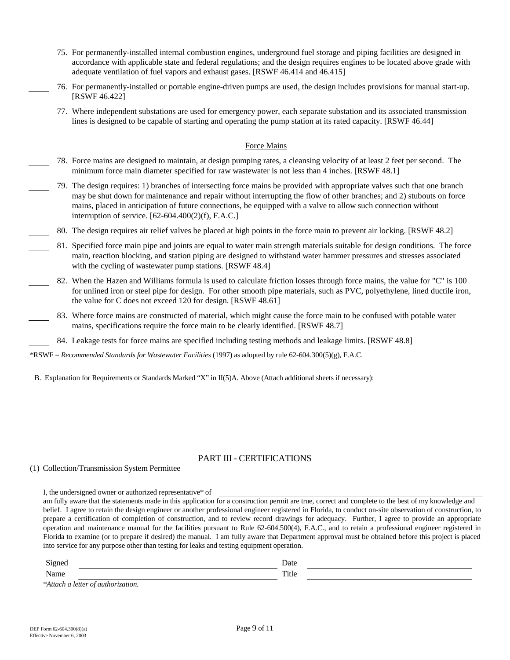- 75. For permanently-installed internal combustion engines, underground fuel storage and piping facilities are designed in accordance with applicable state and federal regulations; and the design requires engines to be located above grade with adequate ventilation of fuel vapors and exhaust gases. [RSWF 46.414 and 46.415]
- 76. For permanently-installed or portable engine-driven pumps are used, the design includes provisions for manual start-up. [RSWF 46.422]
- 77. Where independent substations are used for emergency power, each separate substation and its associated transmission lines is designed to be capable of starting and operating the pump station at its rated capacity. [RSWF 46.44]

#### Force Mains

- 78. Force mains are designed to maintain, at design pumping rates, a cleansing velocity of at least 2 feet per second. The minimum force main diameter specified for raw wastewater is not less than 4 inches. [RSWF 48.1]
- 79. The design requires: 1) branches of intersecting force mains be provided with appropriate valves such that one branch may be shut down for maintenance and repair without interrupting the flow of other branches; and 2) stubouts on force mains, placed in anticipation of future connections, be equipped with a valve to allow such connection without interruption of service. [62-604.400(2)(f), F.A.C.]
- 80. The design requires air relief valves be placed at high points in the force main to prevent air locking. [RSWF 48.2]
- 81. Specified force main pipe and joints are equal to water main strength materials suitable for design conditions. The force main, reaction blocking, and station piping are designed to withstand water hammer pressures and stresses associated with the cycling of wastewater pump stations. [RSWF 48.4]
- 82. When the Hazen and Williams formula is used to calculate friction losses through force mains, the value for "C" is 100 for unlined iron or steel pipe for design. For other smooth pipe materials, such as PVC, polyethylene, lined ductile iron, the value for C does not exceed 120 for design. [RSWF 48.61]
- 83. Where force mains are constructed of material, which might cause the force main to be confused with potable water mains, specifications require the force main to be clearly identified. [RSWF 48.7]
	- 84. Leakage tests for force mains are specified including testing methods and leakage limits. [RSWF 48.8]

\*RSWF = *Recommended Standards for Wastewater Facilities* (1997) as adopted by rule 62-604.300(5)(g), F.A.C.

B. Explanation for Requirements or Standards Marked "X" in II(5)A. Above (Attach additional sheets if necessary):

## PART III - CERTIFICATIONS

#### (1) Collection/Transmission System Permittee

I, the undersigned owner or authorized representative\* of

 prepare a certification of completion of construction, and to review record drawings for adequacy. Further, I agree to provide an appropriate am fully aware that the statements made in this application for a construction permit are true, correct and complete to the best of my knowledge and belief. I agree to retain the design engineer or another professional engineer registered in Florida, to conduct on-site observation of construction, to operation and maintenance manual for the facilities pursuant to Rule 62-604.500(4), F.A.C., and to retain a professional engineer registered in Florida to examine (or to prepare if desired) the manual. I am fully aware that Department approval must be obtained before this project is placed into service for any purpose other than testing for leaks and testing equipment operation.

| $\sim$<br>.<br>. | Date        |  |
|------------------|-------------|--|
| N<br>Name        | -<br>I Iric |  |

*\*Attach a letter of authorization.*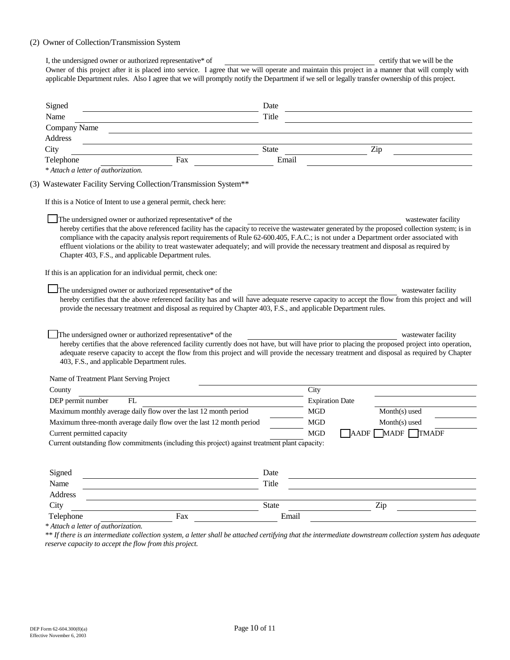## (2) Owner of Collection/Transmission System

| Owner of this project after it is placed into service. I agree that we will operate and maintain this project in a manner that will comply with<br>applicable Department rules. Also I agree that we will promptly notify the Department if we sell or legally transfer ownership of this project. |                       |                        |                                                                                                                       |  |
|----------------------------------------------------------------------------------------------------------------------------------------------------------------------------------------------------------------------------------------------------------------------------------------------------|-----------------------|------------------------|-----------------------------------------------------------------------------------------------------------------------|--|
|                                                                                                                                                                                                                                                                                                    |                       |                        |                                                                                                                       |  |
|                                                                                                                                                                                                                                                                                                    | Date                  |                        |                                                                                                                       |  |
| Signed<br><u> 1980 - Johann Barn, mars ann an t-Amhain Aonaich an t-Aonaich an t-Aonaich ann an t-Aonaich ann an t-Aonaich</u><br>Name                                                                                                                                                             | Title                 |                        | <u> 1980 - Johann Barn, mars ann an t-Amhain Aonaich an t-Aonaich an t-Aonaich an t-Aonaich an t-Aonaich an t-Aon</u> |  |
| Company Name                                                                                                                                                                                                                                                                                       |                       |                        |                                                                                                                       |  |
| Address                                                                                                                                                                                                                                                                                            |                       |                        |                                                                                                                       |  |
| City                                                                                                                                                                                                                                                                                               | <b>State</b>          |                        | Zip                                                                                                                   |  |
| Fax<br>Telephone                                                                                                                                                                                                                                                                                   | Email                 |                        |                                                                                                                       |  |
| * Attach a letter of authorization.                                                                                                                                                                                                                                                                |                       |                        |                                                                                                                       |  |
| (3) Wastewater Facility Serving Collection/Transmission System**                                                                                                                                                                                                                                   |                       |                        |                                                                                                                       |  |
| If this is a Notice of Intent to use a general permit, check here:                                                                                                                                                                                                                                 |                       |                        |                                                                                                                       |  |
|                                                                                                                                                                                                                                                                                                    |                       |                        |                                                                                                                       |  |
| The undersigned owner or authorized representative* of the<br>hereby certifies that the above referenced facility has the capacity to receive the wastewater generated by the proposed collection system; is in                                                                                    |                       |                        | wastewater facility                                                                                                   |  |
| compliance with the capacity analysis report requirements of Rule 62-600.405, F.A.C.; is not under a Department order associated with                                                                                                                                                              |                       |                        |                                                                                                                       |  |
| effluent violations or the ability to treat wastewater adequately; and will provide the necessary treatment and disposal as required by                                                                                                                                                            |                       |                        |                                                                                                                       |  |
| Chapter 403, F.S., and applicable Department rules.                                                                                                                                                                                                                                                |                       |                        |                                                                                                                       |  |
|                                                                                                                                                                                                                                                                                                    |                       |                        |                                                                                                                       |  |
|                                                                                                                                                                                                                                                                                                    |                       |                        |                                                                                                                       |  |
| If this is an application for an individual permit, check one:                                                                                                                                                                                                                                     |                       |                        |                                                                                                                       |  |
| The undersigned owner or authorized representative* of the                                                                                                                                                                                                                                         |                       |                        | wastewater facility                                                                                                   |  |
| hereby certifies that the above referenced facility has and will have adequate reserve capacity to accept the flow from this project and will                                                                                                                                                      |                       |                        |                                                                                                                       |  |
| provide the necessary treatment and disposal as required by Chapter 403, F.S., and applicable Department rules.                                                                                                                                                                                    |                       |                        |                                                                                                                       |  |
|                                                                                                                                                                                                                                                                                                    |                       |                        |                                                                                                                       |  |
|                                                                                                                                                                                                                                                                                                    |                       |                        |                                                                                                                       |  |
| The undersigned owner or authorized representative* of the                                                                                                                                                                                                                                         |                       |                        | wastewater facility                                                                                                   |  |
| hereby certifies that the above referenced facility currently does not have, but will have prior to placing the proposed project into operation,<br>adequate reserve capacity to accept the flow from this project and will provide the necessary treatment and disposal as required by Chapter    |                       |                        |                                                                                                                       |  |
| 403, F.S., and applicable Department rules.                                                                                                                                                                                                                                                        |                       |                        |                                                                                                                       |  |
| Name of Treatment Plant Serving Project                                                                                                                                                                                                                                                            |                       |                        |                                                                                                                       |  |
| County                                                                                                                                                                                                                                                                                             |                       | City                   |                                                                                                                       |  |
| DEP permit number<br>FL                                                                                                                                                                                                                                                                            |                       | <b>Expiration Date</b> |                                                                                                                       |  |
| Maximum monthly average daily flow over the last 12 month period                                                                                                                                                                                                                                   |                       | <b>MGD</b>             | Month(s) used                                                                                                         |  |
| Maximum three-month average daily flow over the last 12 month period                                                                                                                                                                                                                               |                       | <b>MGD</b>             | Month(s) used                                                                                                         |  |
| Current permitted capacity                                                                                                                                                                                                                                                                         |                       | $\rm MGD$              |                                                                                                                       |  |
| Current outstanding flow commitments (including this project) against treatment plant capacity:                                                                                                                                                                                                    |                       |                        | $\Box$ AADF $\Box$ MADF $\Box$ TMADF                                                                                  |  |
|                                                                                                                                                                                                                                                                                                    |                       |                        |                                                                                                                       |  |
|                                                                                                                                                                                                                                                                                                    |                       |                        |                                                                                                                       |  |
| Signed                                                                                                                                                                                                                                                                                             | Date                  |                        |                                                                                                                       |  |
| Name                                                                                                                                                                                                                                                                                               | Title                 |                        |                                                                                                                       |  |
| Address                                                                                                                                                                                                                                                                                            |                       |                        |                                                                                                                       |  |
| City<br>Fax<br>Telephone                                                                                                                                                                                                                                                                           | <b>State</b><br>Email |                        | Zip                                                                                                                   |  |

*\* Attach a letter of authorization.*

 *\*\* If there is an intermediate collection system, a letter shall be attached certifying that the intermediate downstream collection system has adequate reserve capacity to accept the flow from this project.*